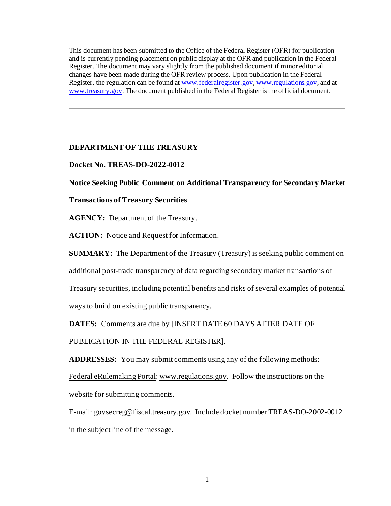This document has been submitted to the Office of the Federal Register (OFR) for publication and is currently pending placement on public display at the OFR and publication in the Federal Register. The document may vary slightly from the published document if minor editorial changes have been made during the OFR review process. Upon publication in the Federal Register, the regulation can be found at [www.federalregister.gov](http://www.federalregister.gov/)[, www.regulations.gov](http://www.regulations.gov/), and at [www.treasury.gov.](http://www.treasury.gov/) The document published in the Federal Register is the official document.

## **DEPARTMENT OF THE TREASURY**

## **Docket No. TREAS-DO-2022-0012**

## **Notice Seeking Public Comment on Additional Transparency for Secondary Market**

### **Transactions of Treasury Securities**

**AGENCY:** Department of the Treasury.

**ACTION:** Notice and Request for Information.

**SUMMARY:** The Department of the Treasury (Treasury) is seeking public comment on

additional post-trade transparency of data regarding secondary market transactions of

Treasury securities, including potential benefits and risks of several examples of potential

ways to build on existing public transparency.

**DATES:** Comments are due by [INSERT DATE 60 DAYS AFTER DATE OF

PUBLICATION IN THE FEDERAL REGISTER].

**ADDRESSES:** You may submit comments using any of the following methods:

Federal eRulemaking Portal[: www.regulations.gov.](http://www.regulations.gov/) Follow the instructions on the

website for submitting comments.

E-mail: govsecreg@fiscal.treasury.gov. Include docket number TREAS-DO-2002-0012 in the subject line of the message.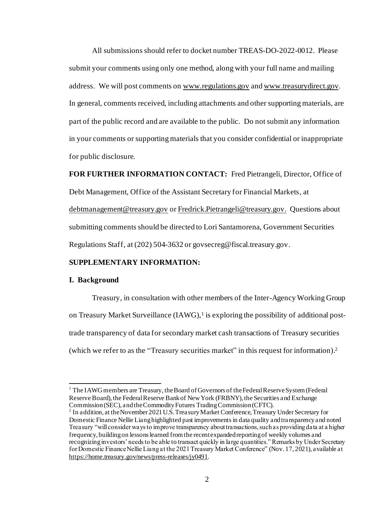All submissions should refer to docket number TREAS-DO-2022-0012. Please submit your comments using only one method, along with your full name and mailing address. We will post comments on [www.regulations.gov](http://www.regulations.gov/) and [www.treasurydirect.gov](http://www.treasurydirect.gov/). In general, comments received, including attachments and other supporting materials, are part of the public record and are available to the public. Do not submit any information in your comments or supporting materials that you consider confidential or inappropriate for public disclosure.

**FOR FURTHER INFORMATION CONTACT:** Fred Pietrangeli, Director, Office of Debt Management, Office of the Assistant Secretary for Financial Markets, at [debtmanagement@treasury.gov](mailto:debtmanagement@treasury.gov) or Fredrick.Pietrangeli@treasury.gov. Questions about submitting comments should be directed to Lori Santamorena, Government Securities Regulations Staff, at (202) 504-3632 or govsecreg@fiscal.treasury.gov.

## **SUPPLEMENTARY INFORMATION:**

## **I. Background**

Treasury, in consultation with other members of the Inter-Agency Working Group on Treasury Market Surveillance (IAWG),<sup>1</sup> is exploring the possibility of additional posttrade transparency of data for secondary market cash transactions of Treasury securities (which we refer to as the "Treasury securities market" in this request for information).<sup>2</sup>

<sup>&</sup>lt;sup>1</sup> The IAWG members are Treasury, the Board of Governors of the Federal Reserve System (Federal Reserve Board), the Federal Reserve Bank of New York (FRBNY), the Securities and Exchange Commission (SEC), and the Commodity Futures Trading Commission (CFTC).

<sup>&</sup>lt;sup>2</sup> In addition, at the November 2021 U.S. Treasury Market Conference, Treasury Under Secretary for Domestic Finance Nellie Liang highlighted past improvements in data quality and transparency and noted Treasury "will consider ways to improve transparency about transactions, such as providing data at a higher frequency, building on lessons learned from the recent expanded reporting of weekly volumes and recognizing investors' needs to be able to transact quickly in large quantities." Remarks by Under Secretary for Domestic Finance Nellie Liang at the 2021 Treasury Market Conference" (Nov. 17, 2021), available at <https://home.treasury.gov/news/press-releases/jy0491>.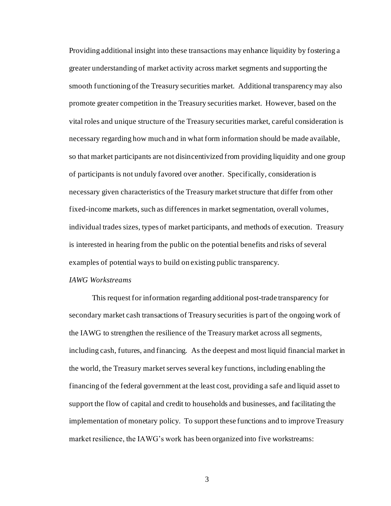Providing additional insight into these transactions may enhance liquidity by fostering a greater understanding of market activity across market segments and supporting the smooth functioning of the Treasury securities market. Additional transparency may also promote greater competition in the Treasury securities market. However, based on the vital roles and unique structure of the Treasury securities market, careful consideration is necessary regarding how much and in what form information should be made available, so that market participants are not disincentivized from providing liquidity and one group of participants is not unduly favored over another. Specifically, consideration is necessary given characteristics of the Treasury market structure that differ from other fixed-income markets, such as differences in market segmentation, overall volumes, individual trades sizes, types of market participants, and methods of execution. Treasury is interested in hearing from the public on the potential benefits and risks of several examples of potential ways to build on existing public transparency.

#### *IAWG Workstreams*

This request for information regarding additional post-trade transparency for secondary market cash transactions of Treasury securities is part of the ongoing work of the IAWG to strengthen the resilience of the Treasury market across all segments, including cash, futures, and financing. As the deepest and most liquid financial market in the world, the Treasury market serves several key functions, including enabling the financing of the federal government at the least cost, providing a safe and liquid asset to support the flow of capital and credit to households and businesses, and facilitating the implementation of monetary policy. To support these functions and to improve Treasury market resilience, the IAWG's work has been organized into five workstreams: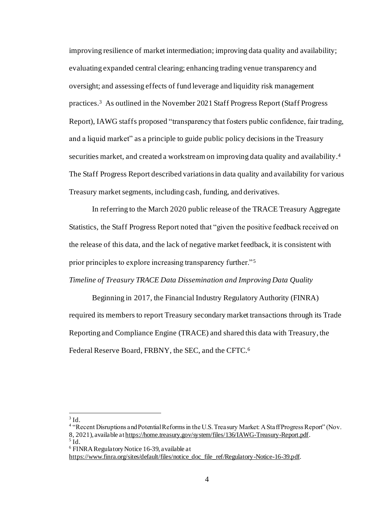improving resilience of market intermediation; improving data quality and availability; evaluating expanded central clearing; enhancing trading venue transparency and oversight; and assessing effects of fund leverage and liquidity risk management practices. 3 As outlined in the November 2021 Staff Progress Report (Staff Progress Report), IAWG staffs proposed "transparency that fosters public confidence, fair trading, and a liquid market" as a principle to guide public policy decisions in the Treasury securities market, and created a workstream on improving data quality and availability. 4 The Staff Progress Report described variations in data quality and availability for various Treasury market segments, including cash, funding, and derivatives.

In referring to the March 2020 public release of the TRACE Treasury Aggregate Statistics, the Staff Progress Report noted that "given the positive feedback received on the release of this data, and the lack of negative market feedback, it is consistent with prior principles to explore increasing transparency further."<sup>5</sup>

## *Timeline of Treasury TRACE Data Dissemination and Improving Data Quality*

Beginning in 2017, the Financial Industry Regulatory Authority (FINRA) required its members to report Treasury secondary market transactions through its Trade Reporting and Compliance Engine (TRACE) and shared this data with Treasury, the Federal Reserve Board, FRBNY, the SEC, and the CFTC.<sup>6</sup>

 $3$  Id.

<sup>&</sup>lt;sup>4</sup> "Recent Disruptions and Potential Reforms in the U.S. Treasury Market: A Staff Progress Report" (Nov. 8, 2021), available a[t https://home.treasury.gov/system/files/136/IAWG-Treasury-Report.pdf](https://home.treasury.gov/system/files/136/IAWG-Treasury-Report.pdf).  $<sup>5</sup>$  Id.</sup>

<sup>6</sup> FINRA Regulatory Notice 16-39, available at

[https://www.finra.org/sites/default/files/notice\\_doc\\_file\\_ref/Regulatory-Notice-16-39.pdf](https://www.finra.org/sites/default/files/notice_doc_file_ref/Regulatory-Notice-16-39.pdf).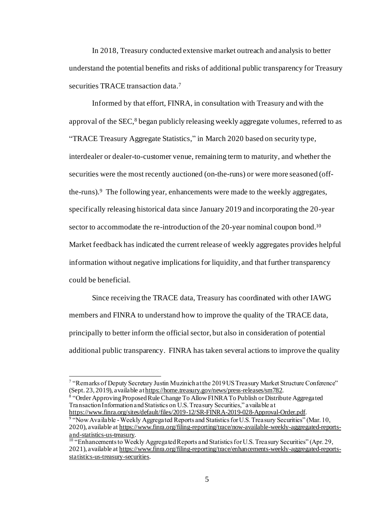In 2018, Treasury conducted extensive market outreach and analysis to better understand the potential benefits and risks of additional public transparency for Treasury securities TRACE transaction data. 7

Informed by that effort, FINRA, in consultation with Treasury and with the approval of the SEC,<sup>8</sup> began publicly releasing weekly aggregate volumes, referred to as "TRACE Treasury Aggregate Statistics," in March 2020 based on security type, interdealer or dealer-to-customer venue, remaining term to maturity, and whether the securities were the most recently auctioned (on-the-runs) or were more seasoned (offthe-runs).<sup>9</sup> The following year, enhancements were made to the weekly aggregates, specifically releasing historical data since January 2019 and incorporating the 20-year sector to accommodate the re-introduction of the 20-year nominal coupon bond.<sup>10</sup> Market feedback has indicated the current release of weekly aggregates provides helpful information without negative implications for liquidity, and that further transparency could be beneficial.

Since receiving the TRACE data, Treasury has coordinated with other IAWG members and FINRA to understand how to improve the quality of the TRACE data, principally to better inform the official sector, but also in consideration of potential additional public transparency. FINRA has taken several actions to improve the quality

<sup>8</sup> "Order Approving Proposed Rule Change To Allow FINRA To Publish or Distribute Aggregated Transaction Information and Statistics on U.S. Treasury Securities," available at <https://www.finra.org/sites/default/files/2019-12/SR-FINRA-2019-028-Approval-Order.pdf>.

<sup>&</sup>lt;sup>7</sup> "Remarks of Deputy Secretary Justin Muzinich at the 2019 US Treasury Market Structure Conference" (Sept. 23, 2019), available a[t https://home.treasury.gov/news/press-releases/sm782](https://home.treasury.gov/news/press-releases/sm782).

<sup>&</sup>lt;sup>9</sup> "Now Available - Weekly Aggregated Reports and Statistics for U.S. Treasury Securities" (Mar. 10, 2020), available a[t https://www.finra.org/filing-reporting/trace/now-available-weekly-aggregated-reports](https://www.finra.org/filing-reporting/trace/now-available-weekly-aggregated-reports-and-statistics-us-treasury)[and-statistics-us-treasury](https://www.finra.org/filing-reporting/trace/now-available-weekly-aggregated-reports-and-statistics-us-treasury).

<sup>&</sup>lt;sup>10</sup> "Enhancements to Weekly Aggregated Reports and Statistics for U.S. Treasury Securities" (Apr. 29, 2021), available a[t https://www.finra.org/filing-reporting/trace/enhancements-weekly-aggregated-reports](https://www.finra.org/filing-reporting/trace/enhancements-weekly-aggregated-reports-statistics-us-treasury-securities)[statistics-us-treasury-securities.](https://www.finra.org/filing-reporting/trace/enhancements-weekly-aggregated-reports-statistics-us-treasury-securities)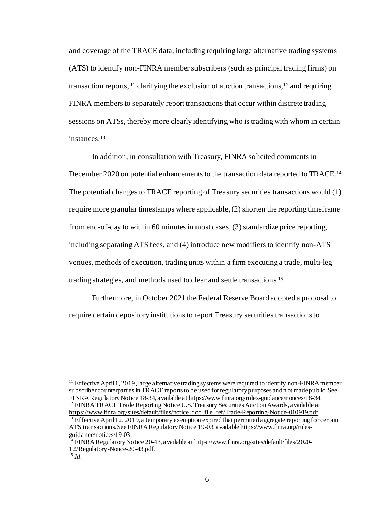and coverage of the TRACE data, including requiring large alternative trading systems (ATS) to identify non-FINRA member subscribers (such as principal trading firms) on transaction reports, <sup>11</sup> clarifying the exclusion of auction transactions, <sup>12</sup> and requiring FINRA members to separately report transactions that occur within discrete trading sessions on ATSs, thereby more clearly identifying who is trading with whom in certain instances.<sup>13</sup>

In addition, in consultation with Treasury, FINRA solicited comments in December 2020 on potential enhancements to the transaction data reported to TRACE.<sup>14</sup> The potential changes to TRACE reporting of Treasury securities transactions would (1) require more granular timestamps where applicable, (2) shorten the reporting timeframe from end-of-day to within 60 minutes in most cases, (3) standardize price reporting, including separating ATS fees, and (4) introduce new modifiers to identify non-ATS venues, methods of execution, trading units within a firm executing a trade, multi-leg trading strategies, and methods used to clear and settle transactions. 15

Furthermore, in October 2021 the Federal Reserve Board adopted a proposal to require certain depository institutions to report Treasury securities transactions to

 $<sup>11</sup>$  Effective April 1, 2019, large alternative trading systems were required to identify non-FINRA member</sup> subscriber counterparties in TRACE reports to be used for regulatory purposes and not made public. See FINRA Regulatory Notice 18-34, available a[t https://www.finra.org/rules-guidance/notices/18-34](https://www.finra.org/rules-guidance/notices/18-34).  $12$  FINRA TRACE Trade Reporting Notice U.S. Treasury Securities Auction Awards, a vailable at [https://www.finra.org/sites/default/files/notice\\_doc\\_file\\_ref/Trade-Reporting-Notice-010919.pdf](https://www.finra.org/sites/default/files/notice_doc_file_ref/Trade-Reporting-Notice-010919.pdf).

<sup>&</sup>lt;sup>13</sup> Effective April 12, 2019, a temporary exemption expired that permitted a ggregate reporting for certain ATS transactions. See FINRA Regulatory Notice 19-03, availabl[e https://www.finra.org/rules](https://www.finra.org/rules-guidance/notices/19-03)[guidance/notices/19-03](https://www.finra.org/rules-guidance/notices/19-03).

<sup>&</sup>lt;sup>14</sup> FINRA Regulatory Notice 20-43, available a[t https://www.finra.org/sites/default/files/2020-](https://www.finra.org/sites/default/files/2020-12/Regulatory-Notice-20-43.pdf) [12/Regulatory-Notice-20-43.pdf](https://www.finra.org/sites/default/files/2020-12/Regulatory-Notice-20-43.pdf).

<sup>15</sup> *Id.*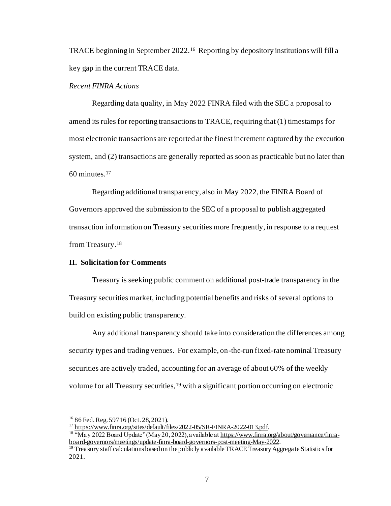TRACE beginning in September 2022.<sup>16</sup> Reporting by depository institutions will fill a key gap in the current TRACE data.

## *Recent FINRA Actions*

Regarding data quality, in May 2022 FINRA filed with the SEC a proposal to amend its rules for reporting transactions to TRACE, requiring that (1) timestamps for most electronic transactions are reported at the finest increment captured by the execution system, and (2) transactions are generally reported as soon as practicable but no later than 60 minutes.<sup>17</sup>

Regarding additional transparency, also in May 2022, the FINRA Board of Governors approved the submission to the SEC of a proposal to publish aggregated transaction information on Treasury securities more frequently, in response to a request from Treasury.<sup>18</sup>

#### **II. Solicitation for Comments**

Treasury is seeking public comment on additional post-trade transparency in the Treasury securities market, including potential benefits and risks of several options to build on existing public transparency.

Any additional transparency should take into consideration the differences among security types and trading venues. For example, on-the-run fixed-rate nominal Treasury securities are actively traded, accounting for an average of about 60% of the weekly volume for all Treasury securities,<sup>19</sup> with a significant portion occurring on electronic

<sup>16</sup> 86 Fed. Reg. 59716 (Oct. 28, 2021).

<sup>17</sup> <https://www.finra.org/sites/default/files/2022-05/SR-FINRA-2022-013.pdf>.

<sup>&</sup>lt;sup>18</sup> "May 2022 Board Update" (May 20, 2022), a vailable a[t https://www.finra.org/about/governance/finra](https://www.finra.org/about/governance/finra-board-governors/meetings/update-finra-board-governors-post-meeting-May-2022)[board-governors/meetings/update-finra-board-governors-post-meeting-May-2022](https://www.finra.org/about/governance/finra-board-governors/meetings/update-finra-board-governors-post-meeting-May-2022).

<sup>&</sup>lt;sup>19</sup> Treasury staff calculations based on the publicly a vailable TRACE Treasury Aggregate Statistics for 2021.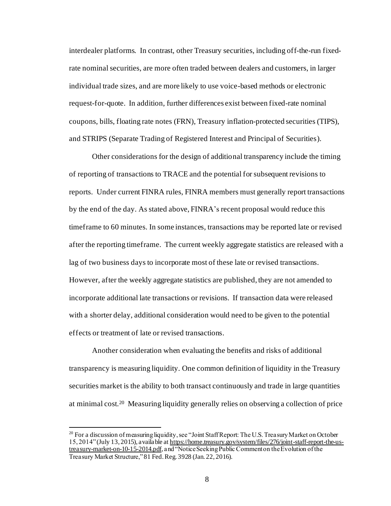interdealer platforms. In contrast, other Treasury securities, including off-the-run fixedrate nominal securities, are more often traded between dealers and customers, in larger individual trade sizes, and are more likely to use voice-based methods or electronic request-for-quote. In addition, further differences exist between fixed-rate nominal coupons, bills, floating rate notes (FRN), Treasury inflation-protected securities (TIPS), and STRIPS (Separate Trading of Registered Interest and Principal of Securities).

Other considerations for the design of additional transparency include the timing of reporting of transactions to TRACE and the potential for subsequent revisions to reports. Under current FINRA rules, FINRA members must generally report transactions by the end of the day. As stated above, FINRA's recent proposal would reduce this timeframe to 60 minutes. In some instances, transactions may be reported late or revised after the reporting timeframe. The current weekly aggregate statistics are released with a lag of two business days to incorporate most of these late or revised transactions. However, after the weekly aggregate statistics are published, they are not amended to incorporate additional late transactions or revisions. If transaction data were released with a shorter delay, additional consideration would need to be given to the potential effects or treatment of late or revised transactions.

Another consideration when evaluating the benefits and risks of additional transparency is measuring liquidity. One common definition of liquidity in the Treasury securities market is the ability to both transact continuously and trade in large quantities at minimal cost.<sup>20</sup> Measuring liquidity generally relies on observing a collection of price

<sup>&</sup>lt;sup>20</sup> For a discussion of measuring liquidity, see "Joint Staff Report: The U.S. Treasury Market on October 15, 2014"(July 13, 2015), available a[t https://home.treasury.gov/system/files/276/joint-staff-report-the-us](https://home.treasury.gov/system/files/276/joint-staff-report-the-us-treasury-market-on-10-15-2014.pdf)[treasury-market-on-10-15-2014.pdf](https://home.treasury.gov/system/files/276/joint-staff-report-the-us-treasury-market-on-10-15-2014.pdf), and "Notice Seeking Public Comment on the Evolution of the Treasury Market Structure," 81 Fed. Reg. 3928 (Jan. 22, 2016).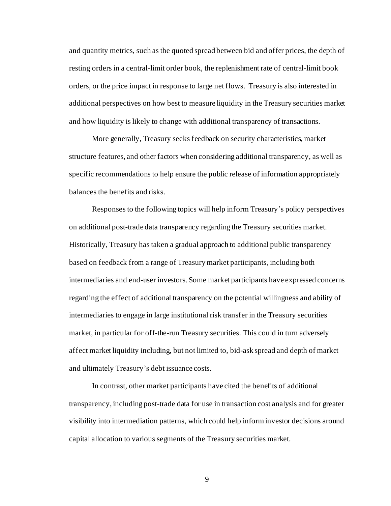and quantity metrics, such as the quoted spread between bid and offer prices, the depth of resting orders in a central-limit order book, the replenishment rate of central-limit book orders, or the price impact in response to large net flows. Treasury is also interested in additional perspectives on how best to measure liquidity in the Treasury securities market and how liquidity is likely to change with additional transparency of transactions.

More generally, Treasury seeks feedback on security characteristics, market structure features, and other factors when considering additional transparency, as well as specific recommendations to help ensure the public release of information appropriately balances the benefits and risks.

Responses to the following topics will help inform Treasury's policy perspectives on additional post-trade data transparency regarding the Treasury securities market. Historically, Treasury has taken a gradual approach to additional public transparency based on feedback from a range of Treasury market participants, including both intermediaries and end-user investors. Some market participants have expressed concerns regarding the effect of additional transparency on the potential willingness and ability of intermediaries to engage in large institutional risk transfer in the Treasury securities market, in particular for off-the-run Treasury securities. This could in turn adversely affect market liquidity including, but not limited to, bid-ask spread and depth of market and ultimately Treasury's debt issuance costs.

In contrast, other market participants have cited the benefits of additional transparency, including post-trade data for use in transaction cost analysis and for greater visibility into intermediation patterns, which could help inform investor decisions around capital allocation to various segments of the Treasury securities market.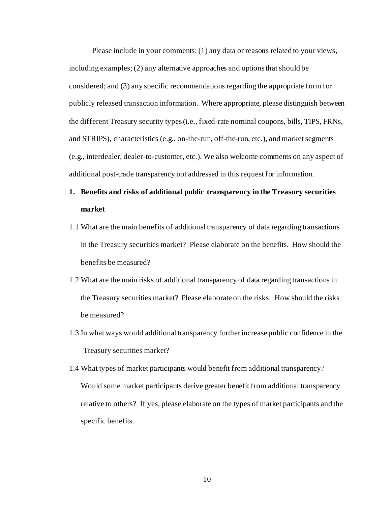Please include in your comments: (1) any data or reasons related to your views, including examples; (2) any alternative approaches and options that should be considered; and (3) any specific recommendations regarding the appropriate form for publicly released transaction information. Where appropriate, please distinguish between the different Treasury security types (i.e., fixed-rate nominal coupons, bills, TIPS, FRNs, and STRIPS), characteristics (e.g., on-the-run, off-the-run, etc.), and market segments (e.g., interdealer, dealer-to-customer, etc.). We also welcome comments on any aspect of additional post-trade transparency not addressed in this request for information.

# **1. Benefits and risks of additional public transparency in the Treasury securities market**

- 1.1 What are the main benefits of additional transparency of data regarding transactions in the Treasury securities market? Please elaborate on the benefits. How should the benefits be measured?
- 1.2 What are the main risks of additional transparency of data regarding transactions in the Treasury securities market? Please elaborate on the risks. How should the risks be measured?
- 1.3 In what ways would additional transparency further increase public confidence in the Treasury securities market?
- 1.4 What types of market participants would benefit from additional transparency? Would some market participants derive greater benefit from additional transparency relative to others? If yes, please elaborate on the types of market participants and the specific benefits.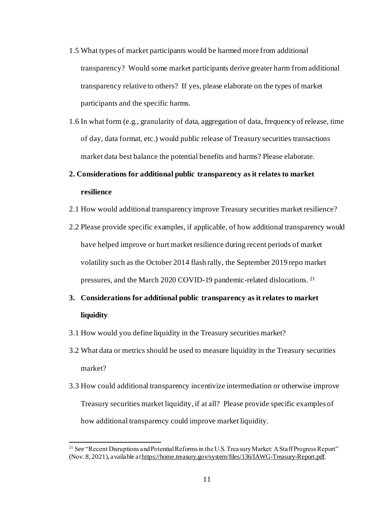- 1.5 What types of market participants would be harmed more from additional transparency? Would some market participants derive greater harm from additional transparency relative to others? If yes, please elaborate on the types of market participants and the specific harms.
- 1.6 In what form (e.g., granularity of data, aggregation of data, frequency of release, time of day, data format, etc.) would public release of Treasury securities transactions market data best balance the potential benefits and harms? Please elaborate.

# **2. Considerations for additional public transparency as it relates to market resilience**

- 2.1 How would additional transparency improve Treasury securities market resilience?
- 2.2 Please provide specific examples, if applicable, of how additional transparency would have helped improve or hurt market resilience during recent periods of market volatility such as the October 2014 flash rally, the September 2019 repo market pressures, and the March 2020 COVID-19 pandemic-related dislocations. <sup>21</sup>
- **3. Considerations for additional public transparency as it relates to market liquidity**
- 3.1 How would you define liquidity in the Treasury securities market?
- 3.2 What data or metrics should be used to measure liquidity in the Treasury securities market?
- 3.3 How could additional transparency incentivize intermediation or otherwise improve Treasury securities market liquidity, if at all? Please provide specific examples of how additional transparency could improve market liquidity.

<sup>&</sup>lt;sup>21</sup> See "Recent Disruptions and Potential Reforms in the U.S. Treasury Market: A Staff Progress Report" (Nov. 8, 2021), available a[t https://home.treasury.gov/system/files/136/IAWG-Treasury-Report.pdf](https://home.treasury.gov/system/files/136/IAWG-Treasury-Report.pdf).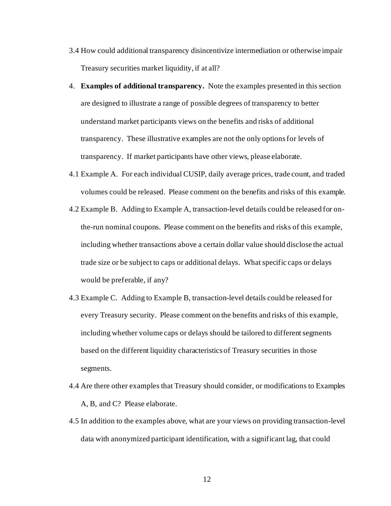- 3.4 How could additional transparency disincentivize intermediation or otherwise impair Treasury securities market liquidity, if at all?
- 4. **Examples of additional transparency.** Note the examples presented in this section are designed to illustrate a range of possible degrees of transparency to better understand market participants views on the benefits and risks of additional transparency. These illustrative examples are not the only options for levels of transparency. If market participants have other views, please elaborate.
- 4.1 Example A. For each individual CUSIP, daily average prices, trade count, and traded volumes could be released. Please comment on the benefits and risks of this example.
- 4.2 Example B. Adding to Example A, transaction-level details could be released for onthe-run nominal coupons. Please comment on the benefits and risks of this example, including whether transactions above a certain dollar value should disclose the actual trade size or be subject to caps or additional delays. What specific caps or delays would be preferable, if any?
- 4.3 Example C. Adding to Example B, transaction-level details could be released for every Treasury security. Please comment on the benefits and risks of this example, including whether volume caps or delays should be tailored to different segments based on the different liquidity characteristics of Treasury securities in those segments.
- 4.4 Are there other examples that Treasury should consider, or modifications to Examples A, B, and C? Please elaborate.
- 4.5 In addition to the examples above, what are your views on providing transaction-level data with anonymized participant identification, with a significant lag, that could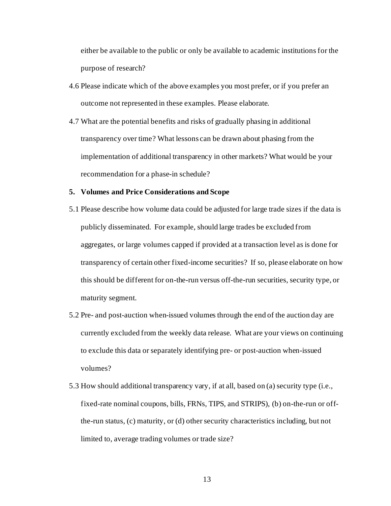either be available to the public or only be available to academic institutions for the purpose of research?

- 4.6 Please indicate which of the above examples you most prefer, or if you prefer an outcome not represented in these examples. Please elaborate.
- 4.7 What are the potential benefits and risks of gradually phasing in additional transparency over time? What lessons can be drawn about phasing from the implementation of additional transparency in other markets? What would be your recommendation for a phase-in schedule?

#### **5. Volumes and Price Considerations and Scope**

- 5.1 Please describe how volume data could be adjusted for large trade sizes if the data is publicly disseminated. For example, should large trades be excluded from aggregates, or large volumes capped if provided at a transaction level as is done for transparency of certain other fixed-income securities? If so, please elaborate on how this should be different for on-the-run versus off-the-run securities, security type, or maturity segment.
- 5.2 Pre- and post-auction when-issued volumes through the end of the auction day are currently excluded from the weekly data release. What are your views on continuing to exclude this data or separately identifying pre- or post-auction when-issued volumes?
- 5.3 How should additional transparency vary, if at all, based on (a) security type (i.e., fixed-rate nominal coupons, bills, FRNs, TIPS, and STRIPS), (b) on-the-run or offthe-run status, (c) maturity, or (d) other security characteristics including, but not limited to, average trading volumes or trade size?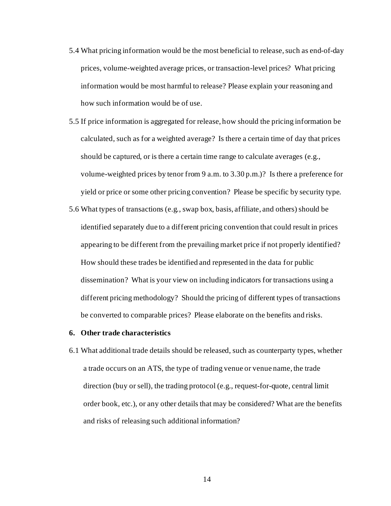5.4 What pricing information would be the most beneficial to release, such as end-of-day prices, volume-weighted average prices, or transaction-level prices? What pricing information would be most harmful to release? Please explain your reasoning and how such information would be of use.

5.5 If price information is aggregated for release, how should the pricing information be calculated, such as for a weighted average? Is there a certain time of day that prices should be captured, or is there a certain time range to calculate averages (e.g., volume-weighted prices by tenor from 9 a.m. to 3.30 p.m.)? Is there a preference for yield or price or some other pricing convention? Please be specific by security type.

5.6 What types of transactions (e.g*.*, swap box, basis, affiliate, and others) should be identified separately due to a different pricing convention that could result in prices appearing to be different from the prevailing market price if not properly identified? How should these trades be identified and represented in the data for public dissemination? What is your view on including indicators for transactions using a different pricing methodology? Should the pricing of different types of transactions be converted to comparable prices? Please elaborate on the benefits and risks.

#### **6. Other trade characteristics**

6.1 What additional trade details should be released, such as counterparty types, whether a trade occurs on an ATS, the type of trading venue or venue name, the trade direction (buy or sell), the trading protocol (e.g., request-for-quote, central limit order book, etc.), or any other details that may be considered? What are the benefits and risks of releasing such additional information?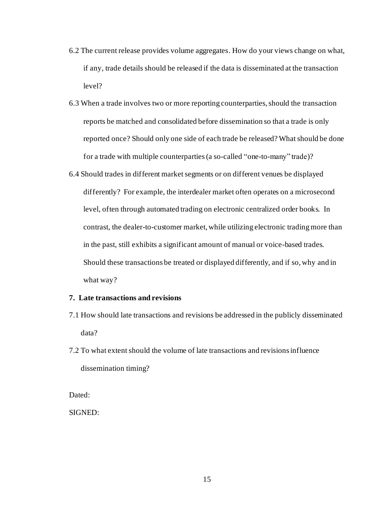- 6.2 The current release provides volume aggregates. How do your views change on what, if any, trade details should be released if the data is disseminated at the transaction level?
- 6.3 When a trade involves two or more reporting counterparties, should the transaction reports be matched and consolidated before dissemination so that a trade is only reported once? Should only one side of each trade be released? What should be done for a trade with multiple counterparties(a so-called "one-to-many" trade)?
- 6.4 Should trades in different market segments or on different venues be displayed differently? For example, the interdealer market often operates on a microsecond level, often through automated trading on electronic centralized order books. In contrast, the dealer-to-customer market, while utilizing electronic trading more than in the past, still exhibits a significant amount of manual or voice-based trades. Should these transactions be treated or displayed differently, and if so, why and in what way?

## **7. Late transactions and revisions**

- 7.1 How should late transactions and revisions be addressed in the publicly disseminated data?
- 7.2 To what extent should the volume of late transactions and revisions influence dissemination timing?

Dated:

SIGNED: